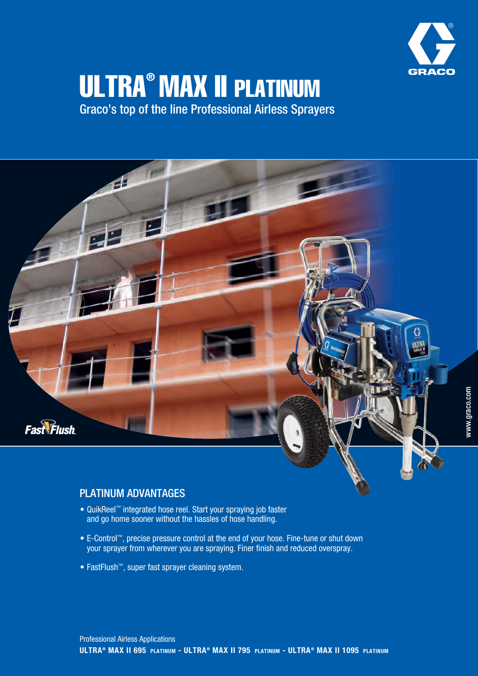

# ULTRA® MAX II PLATINUM

Graco's top of the line Professional Airless Sprayers



## PLATINUM ADVANTAGES

- QuikReel™ integrated hose reel. Start your spraying job faster and go home sooner without the hassles of hose handling.
- E-Control™, precise pressure control at the end of your hose. Fine-tune or shut down your sprayer from wherever you are spraying. Finer finish and reduced overspray.
- FastFlush<sup>™</sup>, super fast sprayer cleaning system.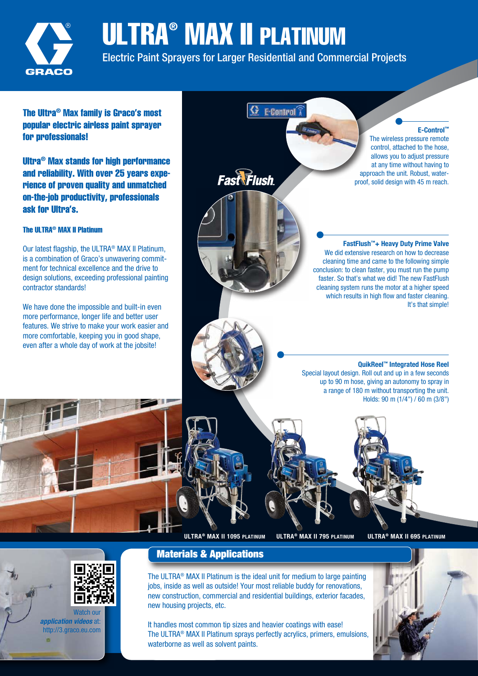

## ULTRA® MAX II PLATINUM

Electric Paint Sprayers for Larger Residential and Commercial Projects

G E-Control

The Ultra® Max family is Graco's most popular electric airless paint sprayer for professionals!

Ultra® Max stands for high performance and reliability. With over 25 years experience of proven quality and unmatched on-the-job productivity, professionals ask for Ultra's.

#### The III TRA® MAX II Platinum

Our latest flagship, the ULTRA<sup>®</sup> MAX II Platinum, is a combination of Graco's unwavering commitment for technical excellence and the drive to design solutions, exceeding professional painting contractor standards!

We have done the impossible and built-in even more performance, longer life and better user features. We strive to make your work easier and more comfortable, keeping you in good shape. even after a whole day of work at the jobsite!

**Fast Flush** 

#### E-Control™

The wireless pressure remote control, attached to the hose, allows you to adjust pressure at any time without having to approach the unit. Robust, waterproof, solid design with 45 m reach.

#### FastFlush™+ Heavy Duty Prime Valve We did extensive research on how to decrease cleaning time and came to the following simple conclusion: to clean faster, you must run the pump faster. So that's what we did! The new FastFlush cleaning system runs the motor at a higher speed which results in high flow and faster cleaning. It's that simple!

QuikReel™ Integrated Hose Reel Special layout design. Roll out and up in a few seconds up to 90 m hose, giving an autonomy to spray in a range of 180 m without transporting the unit. Holds:  $90 \text{ m } (1/4" ) / 60 \text{ m } (3/8" )$ 



ULTRA® MAX II 1095 PLATINUM ULTRA® MAX II 795 PLATINUM ULTRA® MAX II 695 PLATINUM



latch ou application videos at: http://3.graco.eu.com



The ULTRA<sup>®</sup> MAX II Platinum is the ideal unit for medium to large painting jobs, inside as well as outside! Your most reliable buddy for renovations, new construction, commercial and residential buildings, exterior facades, new housing projects, etc.

It handles most common tip sizes and heavier coatings with ease! The ULTRA® MAX II Platinum sprays perfectly acrylics, primers, emulsions, waterborne as well as solvent paints.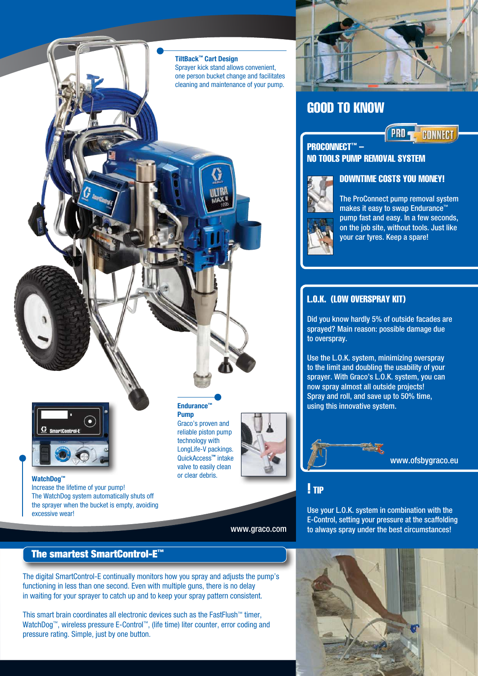#### TiltBack™ Cart Design

Sprayer kick stand allows convenient. one person bucket change and facilitates cleaning and maintenance of your pump.



## GOOD TO KNOW



### PROCONNECT™ -NO TOOLS PUMP REMOVAL SYSTEM



The ProConnect pump removal system makes it easy to swap Endurance™ pump fast and easy. In a few seconds, on the job site, without tools. Just like your car tyres. Keep a spare!

DOWNTIME COSTS YOU MONEY!

## L.O.K. (LOW OVERSPRAY KIT)

Did you know hardly 5% of outside facades are sprayed? Main reason: possible damage due to overspray.

Use the L.O.K. system, minimizing overspray to the limit and doubling the usability of your sprayer. With Graco's L.O.K. system, you can now spray almost all outside projects! Spray and roll, and save up to 50% time, Endurance  $\blacksquare$  using this innovative system.



www.ofsbygraco.eu

! TIP

Use your L.O.K. system in combination with the E-Control, setting your pressure at the scaffolding to always spray under the best circumstances!

## The smartest SmartControl-E™

The WatchDog system automatically shuts off the sprayer when the bucket is empty, avoiding

Increase the lifetime of your pump!

WatchDog™

excessive wear!

The digital SmartControl-E continually monitors how you spray and adjusts the pump's functioning in less than one second. Even with multiple guns, there is no delay in waiting for your sprayer to catch up and to keep your spray pattern consistent.

This smart brain coordinates all electronic devices such as the FastFlush™ timer, WatchDog™, wireless pressure E-Control™, (life time) liter counter, error coding and pressure rating. Simple, just by one button.



reliable piston pump technology with LongLife-V packings. QuickAccess™ intake valve to easily clean or clear debris.

Graco's proven and

Pump



www.graco.com